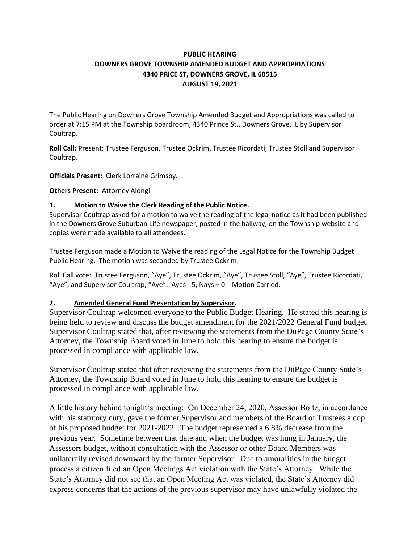## **PUBLIC HEARING DOWNERS GROVE TOWNSHIP AMENDED BUDGET AND APPROPRIATIONS 4340 PRICE ST, DOWNERS GROVE, IL 60515 AUGUST 19, 2021**

The Public Hearing on Downers Grove Township Amended Budget and Appropriations was called to order at 7:15 PM at the Township boardroom, 4340 Prince St., Downers Grove, IL by Supervisor Coultrap.

**Roll Call:** Present: Trustee Ferguson, Trustee Ockrim, Trustee Ricordati, Trustee Stoll and Supervisor Coultrap.

**Officials Present:** Clerk Lorraine Grimsby.

**Others Present:** Attorney Alongi

## **1. Motion to Waive the Clerk Reading of the Public Notice.**

Supervisor Coultrap asked for a motion to waive the reading of the legal notice as it had been published in the Downers Grove Suburban Life newspaper, posted in the hallway, on the Township website and copies were made available to all attendees.

Trustee Ferguson made a Motion to Waive the reading of the Legal Notice for the Township Budget Public Hearing. The motion was seconded by Trustee Ockrim.

Roll Call vote: Trustee Ferguson, "Aye", Trustee Ockrim, "Aye", Trustee Stoll, "Aye", Trustee Ricordati, "Aye", and Supervisor Coultrap, "Aye". Ayes - 5, Nays – 0. Motion Carried.

## **2. Amended General Fund Presentation by Supervisor.**

Supervisor Coultrap welcomed everyone to the Public Budget Hearing. He stated this hearing is being held to review and discuss the budget amendment for the 2021/2022 General Fund budget. Supervisor Coultrap stated that, after reviewing the statements from the DuPage County State's Attorney, the Township Board voted in June to hold this hearing to ensure the budget is processed in compliance with applicable law.

Supervisor Coultrap stated that after reviewing the statements from the DuPage County State's Attorney, the Township Board voted in June to hold this hearing to ensure the budget is processed in compliance with applicable law.

A little history behind tonight's meeting: On December 24, 2020, Assessor Boltz, in accordance with his statutory duty, gave the former Supervisor and members of the Board of Trustees a cop of his proposed budget for 2021-2022. The budget represented a 6.8% decrease from the previous year. Sometime between that date and when the budget was hung in January, the Assessors budget, without consultation with the Assessor or other Board Members was unilaterally revised downward by the former Supervisor. Due to amoralities in the budget process a citizen filed an Open Meetings Act violation with the State's Attorney. While the State's Attorney did not see that an Open Meeting Act was violated, the State's Attorney did express concerns that the actions of the previous supervisor may have unlawfully violated the